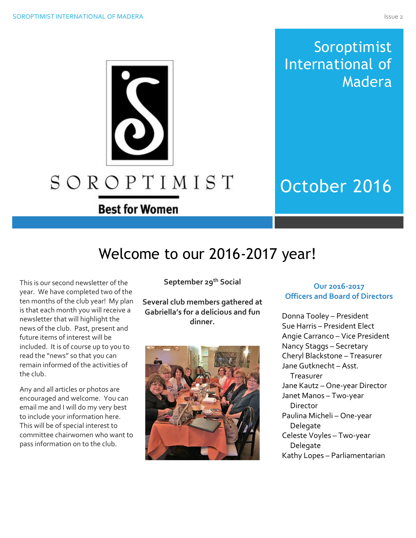# Soroptimist International of Madera

# October 2016

# Welcome to our 2016-2017 year!

SOROPTIMIST

**Best for Women** 

This is our second newsletter of the year. We have completed two of the ten months of the club year! My plan is that each month you will receive a newsletter that will highlight the news of the club. Past, present and future items of interest will be included. It is of course up to you to read the "news" so that you can remain informed of the activities of the club.

Any and all articles or photos are encouraged and welcome. You can email me and I will do my very best to include your information here. This will be of special interest to committee chairwomen who want to pass information on to the club.

**September 29th Social**

**Several club members gathered at Gabriella's for a delicious and fun dinner.**



## **Our 2016-2017 Officers and Board of Directors**

Donna Tooley – President Sue Harris – President Elect Angie Carranco – Vice President Nancy Staggs – Secretary Cheryl Blackstone – Treasurer Jane Gutknecht – Asst. Treasurer Jane Kautz – One-year Director Janet Manos – Two-year Director Paulina Micheli – One-year Delegate Celeste Voyles – Two-year Delegate Kathy Lopes – Parliamentarian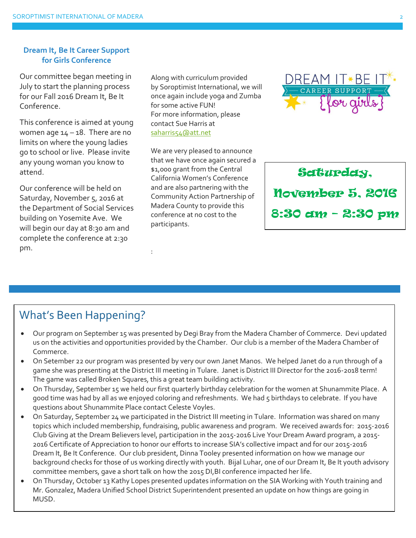### **Dream It, Be It Career Support for Girls Conference**

Our committee began meeting in July to start the planning process for our Fall 2016 Dream It, Be It Conference.

This conference is aimed at young women age  $14 - 18$ . There are no limits on where the young ladies go to school or live. Please invite any young woman you know to attend.

Our conference will be held on Saturday, November 5, 2016 at the Department of Social Services building on Yosemite Ave. We will begin our day at 8:30 am and complete the conference at 2:30 pm.

Along with curriculum provided by Soroptimist International, we will once again include yoga and Zumba for some active FUN! For more information, please contact Sue Harris at [saharris54@att.net](mailto:saharris54@att.net)

We are very pleased to announce that we have once again secured a \$1,000 grant from the Central California Women's Conference and are also partnering with the Community Action Partnership of Madera County to provide this conference at no cost to the participants.

:



Saturday, November 5, 2016 8:30 am – 2:30 pm

# What's Been Happening?

- Our program on September 15 was presented by Degi Bray from the Madera Chamber of Commerce. Devi updated us on the activities and opportunities provided by the Chamber. Our club is a member of the Madera Chamber of Commerce.
- On Setember 22 our program was presented by very our own Janet Manos. We helped Janet do a run through of a game she was presenting at the District III meeting in Tulare. Janet is District III Director for the 2016-2018 term! The game was called Broken Squares, this a great team building activity.
- On Thursday, September 15 we held our first quarterly birthday celebration for the women at Shunammite Place. A good time was had by all as we enjoyed coloring and refreshments. We had 5 birthdays to celebrate. If you have questions about Shunammite Place contact Celeste Voyles.
- On Saturday, September 24 we participated in the District III meeting in Tulare. Information was shared on many topics which included membership, fundraising, public awareness and program. We received awards for: 2015-2016 Club Giving at the Dream Believers level, participation in the 2015-2016 Live Your Dream Award program, a 2015- 2016 Certificate of Appreciation to honor our efforts to increase SIA's collective impact and for our 2015-2016 Dream It, Be It Conference. Our club president, Dinna Tooley presented information on how we manage our background checks for those of us working directly with youth. Bijal Luhar, one of our Dream It, Be It youth advisory committee members, gave a short talk on how the 2015 DI,BI conference impacted her life.
- On Thursday, October 13 Kathy Lopes presented updates information on the SIA Working with Youth training and Mr. Gonzalez, Madera Unified School District Superintendent presented an update on how things are going in MUSD.